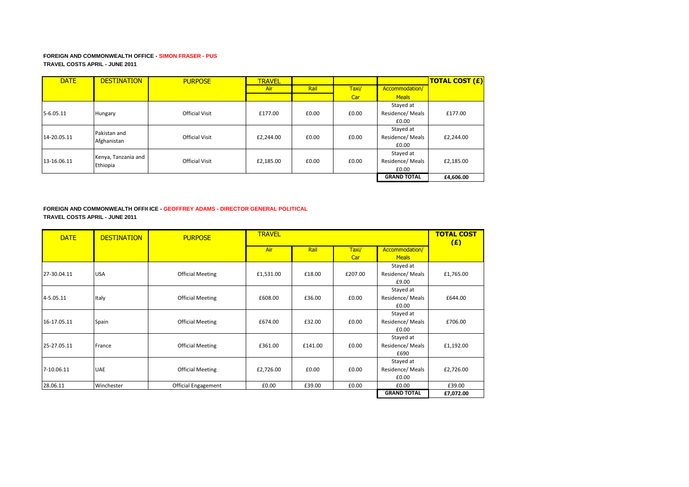### **FOREIGN AND COMMONWEALTH OFFICE - SIMON FRASER - PUS TRAVEL COSTS APRIL - JUNE 2011**

| <b>DATE</b> | <b>DESTINATION</b>  | <b>PURPOSE</b>        | <b>TRAVEL</b> |       |       |                    | <b>TOTAL COST (£)</b> |
|-------------|---------------------|-----------------------|---------------|-------|-------|--------------------|-----------------------|
|             |                     |                       | Air           | Rail  | Taxi/ | Accommodation/     |                       |
|             |                     |                       |               |       | Car   | <b>Meals</b>       |                       |
|             |                     |                       |               |       |       | Stayed at          |                       |
| 5-6.05.11   | Hungary             | <b>Official Visit</b> | £177.00       | £0.00 | £0.00 | Residence/ Meals   | £177.00               |
|             |                     |                       |               |       |       | £0.00              |                       |
|             | Pakistan and        |                       |               |       |       | Stayed at          |                       |
| 14-20.05.11 | Afghanistan         | <b>Official Visit</b> | £2,244.00     | £0.00 | £0.00 | Residence/Meals    | £2,244.00             |
|             |                     |                       |               |       |       | £0.00              |                       |
|             | Kenya, Tanzania and |                       |               |       |       | Stayed at          |                       |
| 13-16.06.11 | Ethiopia            | <b>Official Visit</b> | £2,185.00     | £0.00 | £0.00 | Residence/ Meals   | £2,185.00             |
|             |                     |                       |               |       |       | £0.00              |                       |
|             |                     |                       |               |       |       | <b>GRAND TOTAL</b> | £4,606.00             |

## **FOREIGN AND COMMONWEALTH OFFICICE - GEOFFREY ADAMS - DIRECTOR GENERAL POLITICAL TRAVEL COSTS APRIL - JUNE 2011**

| <b>DATE</b> | <b>DESTINATION</b> | <b>PURPOSE</b>          | <b>TRAVEL</b> |         |         |                    |           |  |
|-------------|--------------------|-------------------------|---------------|---------|---------|--------------------|-----------|--|
|             |                    |                         | Air           | Rail    | Taxi/   | Accommodation/     |           |  |
|             |                    |                         |               |         | Car     | <b>Meals</b>       |           |  |
|             |                    |                         |               |         |         | Stayed at          |           |  |
| 27-30.04.11 | <b>USA</b>         | <b>Official Meeting</b> | £1,531.00     | £18.00  | £207.00 | Residence/ Meals   | £1,765.00 |  |
|             |                    |                         |               |         |         | £9.00              |           |  |
|             |                    |                         |               |         |         | Stayed at          |           |  |
| 4-5.05.11   | Italy              | <b>Official Meeting</b> | £608.00       | £36.00  | £0.00   | Residence/ Meals   | £644.00   |  |
|             |                    |                         |               |         |         | £0.00              |           |  |
|             |                    |                         |               |         |         | Stayed at          |           |  |
| 16-17.05.11 | Spain              | <b>Official Meeting</b> | £674.00       | £32.00  | £0.00   | Residence/ Meals   | £706.00   |  |
|             |                    |                         |               |         |         | £0.00              |           |  |
|             |                    |                         |               |         |         | Stayed at          |           |  |
| 25-27.05.11 | France             | <b>Official Meeting</b> | £361.00       | £141.00 | £0.00   | Residence/ Meals   | £1,192.00 |  |
|             |                    |                         |               |         |         | £690               |           |  |
|             |                    |                         |               |         |         | Stayed at          |           |  |
| 7-10.06.11  | <b>UAE</b>         | <b>Official Meeting</b> | £2,726.00     | £0.00   | £0.00   | Residence/ Meals   | £2,726.00 |  |
|             |                    |                         |               |         |         | £0.00              |           |  |
| 28.06.11    | Winchester         | Official Engagement     | £0.00         | £39.00  | £0.00   | £0.00              | £39.00    |  |
|             |                    |                         |               |         |         | <b>GRAND TOTAL</b> | £7,072.00 |  |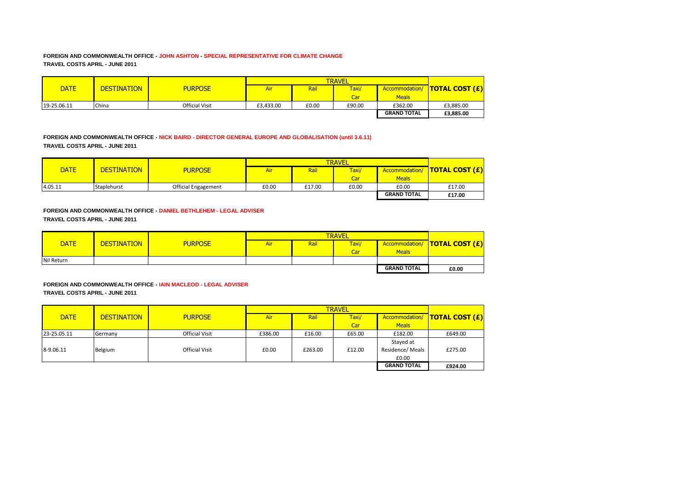### **FOREIGN AND COMMONWEALTH OFFICE - JOHN ASHTON - SPECIAL REPRESENTATIVE FOR CLIMATE CHANGE TRAVEL COSTS APRIL - JUNE 2011**

|             |                    |                       |           | <b>TRAVEL</b> |        |                    |                                 |  |
|-------------|--------------------|-----------------------|-----------|---------------|--------|--------------------|---------------------------------|--|
| <b>DATE</b> | <b>DESTINATION</b> | <b>PURPOSE</b>        | Air       | Rail          | Taxi/  |                    | Accommodation/   TOTAL COST (£) |  |
|             |                    |                       |           |               | Car    | <b>Meals</b>       |                                 |  |
| 19-25.06.11 | China              | <b>Official Visit</b> | £3.433.00 | £0.00         | £90.00 | £362.00            | £3,885.00                       |  |
|             |                    |                       |           |               |        | <b>GRAND TOTAL</b> | £3,885.00                       |  |

**FOREIGN AND COMMONWEALTH OFFICE - NICK BAIRD - DIRECTOR GENERAL EUROPE AND GLOBALISATION (until 3.6.11) TRAVEL COSTS APRIL - JUNE 2011** 

|             |                    |                            |       | <b>TRAVEL</b> |                  |                    |                                |  |
|-------------|--------------------|----------------------------|-------|---------------|------------------|--------------------|--------------------------------|--|
| <b>DATE</b> | <b>DESTINATION</b> | <b>PURPOSE</b>             | Air   | Rail          | Taxi/            |                    | Accommodation/  TOTAL COST (£) |  |
|             |                    |                            |       |               | Car <sup>1</sup> | <b>Meals</b>       |                                |  |
| 4.05.11     | Staplehurst        | <b>Official Engagement</b> | £0.00 | £17.00        | £0.00            | £0.00              | £17.00                         |  |
|             |                    |                            |       |               |                  | <b>GRAND TOTAL</b> | £17.00                         |  |

**FOREIGN AND COMMONWEALTH OFFICE - DANIEL BETHLEHEM - LEGAL ADVISER TRAVEL COSTS APRIL - JUNE 2011**

|             |                    |                |     |      | <b>TRAVEL</b> |                    |                                      |
|-------------|--------------------|----------------|-----|------|---------------|--------------------|--------------------------------------|
| <b>DATE</b> | <b>DESTINATION</b> | <b>PURPOSE</b> | Air | Rail | Taxi/         |                    | Accommodation/ <b>TOTAL COST (£)</b> |
|             |                    |                |     |      | Car           | <b>Meals</b>       |                                      |
| Nil Return  |                    |                |     |      |               |                    |                                      |
|             |                    |                |     |      |               | <b>GRAND TOTAL</b> | £0.00                                |

**FOREIGN AND COMMONWEALTH OFFICE - IAIN MACLEOD - LEGAL ADVISER TRAVEL COSTS APRIL - JUNE 2011**

| <b>DATE</b> | <b>DESTINATION</b> | <b>PURPOSE</b>        | Air     | Rail    | Taxi/  |                    | Accommodation/ <b>TOTAL COST (£)</b> |
|-------------|--------------------|-----------------------|---------|---------|--------|--------------------|--------------------------------------|
|             |                    |                       |         |         | Car    | <b>Meals</b>       |                                      |
| 23-25.05.11 | Germany            | <b>Official Visit</b> | £386.00 | £16.00  | £65.00 | £182.00            | £649.00                              |
|             |                    |                       |         |         |        | Stayed at          |                                      |
| 8-9.06.11   | Belgium            | <b>Official Visit</b> | £0.00   | £263.00 | £12.00 | Residence/ Meals   | £275.00                              |
|             |                    |                       |         |         |        | £0.00              |                                      |
|             |                    |                       |         |         |        | <b>GRAND TOTAL</b> | £924.00                              |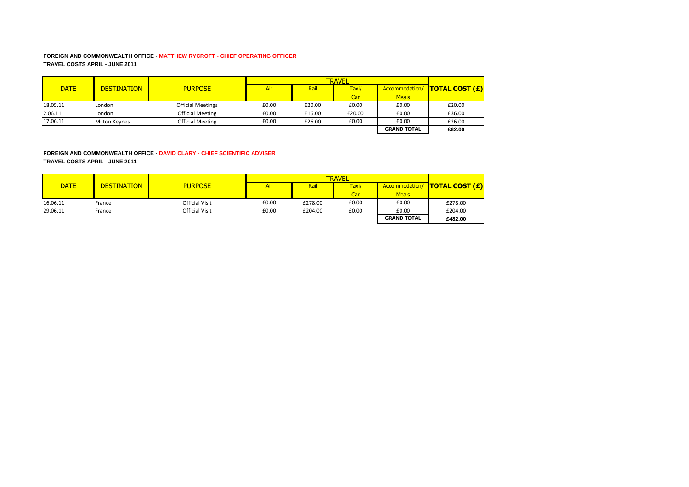### **FOREIGN AND COMMONWEALTH OFFICE - MATTHEW RYCROFT - CHIEF OPERATING OFFICER TRAVEL COSTS APRIL - JUNE 2011**

| <b>DATE</b> | <b>DESTINATION</b>   | <b>PURPOSE</b>           | Air   | Rail   | Taxi/  |                    | Accommodation/  TOTAL COST (£) |
|-------------|----------------------|--------------------------|-------|--------|--------|--------------------|--------------------------------|
|             |                      |                          |       |        | Car    | <b>Meals</b>       |                                |
| 18.05.11    | London               | <b>Official Meetings</b> | £0.00 | £20.00 | £0.00  | £0.00              | £20.00                         |
| 2.06.11     | London               | <b>Official Meeting</b>  | £0.00 | £16.00 | £20.00 | £0.00              | £36.00                         |
| 17.06.11    | <b>Milton Keynes</b> | <b>Official Meeting</b>  | £0.00 | £26.00 | £0.00  | £0.00              | £26.00                         |
|             |                      |                          |       |        |        | <b>GRAND TOTAL</b> | £82.00                         |

# **FOREIGN AND COMMONWEALTH OFFICE - DAVID CLARY - CHIEF SCIENTIFIC ADVISER**

**TRAVEL COSTS APRIL - JUNE 2011**

| <b>DATE</b> | <b>DESTINATION</b> | <b>PURPOSE</b>        | Air   | Rail    | Taxi/ | Accommodation/     | <b>TOTAL COST <math>(E)</math></b> |
|-------------|--------------------|-----------------------|-------|---------|-------|--------------------|------------------------------------|
|             |                    |                       |       |         | Car   | <b>Meals</b>       |                                    |
| 16.06.11    | France             | <b>Official Visit</b> | £0.00 | £278.00 | £0.00 | £0.00              | £278.00                            |
| 29.06.11    | France             | <b>Official Visit</b> | £0.00 | £204.00 | £0.00 | £0.00              | £204.00                            |
|             |                    |                       |       |         |       | <b>GRAND TOTAL</b> | £482.00                            |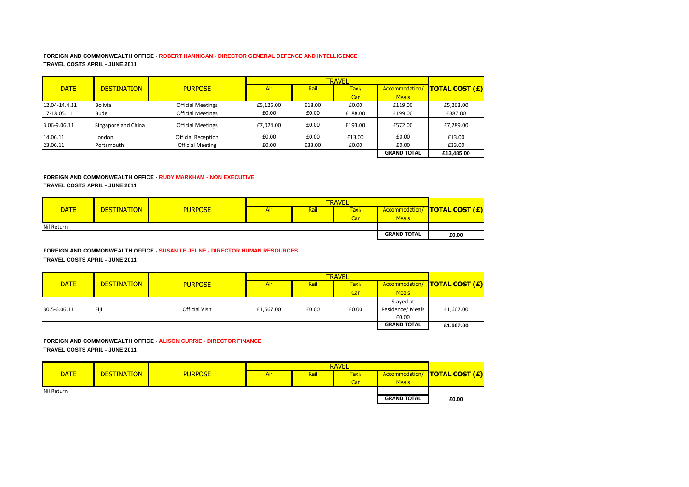### **FOREIGN AND COMMONWEALTH OFFICE - ROBERT HANNIGAN - DIRECTOR GENERAL DEFENCE AND INTELLIGENCE TRAVEL COSTS APRIL - JUNE 2011**

|               |                     |                           |            |        | <b>TRAVEL</b> |                    |                              |
|---------------|---------------------|---------------------------|------------|--------|---------------|--------------------|------------------------------|
| <b>DATE</b>   | <b>DESTINATION</b>  | <b>PURPOSE</b>            | <b>Air</b> | Rail   | Taxi/         | Accommodation/     | <mark> TOTAL COST (£)</mark> |
|               |                     |                           |            |        | Car           | <b>Meals</b>       |                              |
| 12.04-14.4.11 | <b>Bolivia</b>      | <b>Official Meetings</b>  | £5.126.00  | £18.00 | £0.00         | £119.00            | £5,263.00                    |
| 17-18.05.11   | <b>Bude</b>         | <b>Official Meetings</b>  | £0.00      | £0.00  | £188.00       | £199.00            | £387.00                      |
| 3.06-9.06.11  | Singapore and China | <b>Official Meetings</b>  | £7,024.00  | £0.00  | £193.00       | £572.00            | £7,789.00                    |
| 14.06.11      | London              | <b>Official Reception</b> | £0.00      | £0.00  | £13.00        | £0.00              | £13.00                       |
| 23.06.11      | Portsmouth          | <b>Official Meeting</b>   | £0.00      | £33.00 | £0.00         | £0.00              | £33.00                       |
|               |                     |                           |            |        |               | <b>GRAND TOTAL</b> | £13,485.00                   |

#### **FOREIGN AND COMMONWEALTH OFFICE - RUDY MARKHAM - NON EXECUTIVE**

**TRAVEL COSTS APRIL - JUNE 2011**

|             |                    |                |     | <b>TRAVEL</b> |       |                    |                                    |  |
|-------------|--------------------|----------------|-----|---------------|-------|--------------------|------------------------------------|--|
| <b>DATE</b> | <b>DESTINATION</b> | <b>PURPOSE</b> | Air | Rail          | Taxi/ | Accommodation/     | <b>TOTAL COST <math>(E)</math></b> |  |
|             |                    |                |     |               | Car   | <b>Meals</b>       |                                    |  |
| Nil Return  |                    |                |     |               |       |                    |                                    |  |
|             |                    |                |     |               |       | <b>GRAND TOTAL</b> | £0.00                              |  |

# **FOREIGN AND COMMONWEALTH OFFICE - SUSAN LE JEUNE - DIRECTOR HUMAN RESOURCES**

**TRAVEL COSTS APRIL - JUNE 2011**

|              |                    |                       |           | <b>TRAVEL</b> |       |                    |                                 |  |
|--------------|--------------------|-----------------------|-----------|---------------|-------|--------------------|---------------------------------|--|
| <b>DATE</b>  | <b>DESTINATION</b> | <b>PURPOSE</b>        | Air       | Rail          | Taxi/ |                    | Accommodation/   TOTAL COST (£) |  |
|              |                    |                       |           |               | Car   | <b>Meals</b>       |                                 |  |
|              |                    |                       |           |               |       | Stayed at          |                                 |  |
| 30.5-6.06.11 | Fiji               | <b>Official Visit</b> | £1,667.00 | £0.00         | £0.00 | Residence/ Meals   | £1,667.00                       |  |
|              |                    |                       |           |               |       | £0.00              |                                 |  |
|              |                    |                       |           |               |       | <b>GRAND TOTAL</b> | £1,667.00                       |  |

#### **FOREIGN AND COMMONWEALTH OFFICE - ALISON CURRIE - DIRECTOR FINANCE TRAVEL COSTS APRIL - JUNE 2011**

|             |                    |                |     | <b>TRAVEL</b> |       |                    |                                      |  |
|-------------|--------------------|----------------|-----|---------------|-------|--------------------|--------------------------------------|--|
| <b>DATE</b> | <b>DESTINATION</b> | <b>PURPOSE</b> | Air | Rail          | Taxi/ |                    | Accommodation/ <b>TOTAL COST (£)</b> |  |
|             |                    |                |     |               | Car   | <b>Meals</b>       |                                      |  |
| Nil Return  |                    |                |     |               |       |                    |                                      |  |
|             |                    |                |     |               |       | <b>GRAND TOTAL</b> | £0.00                                |  |